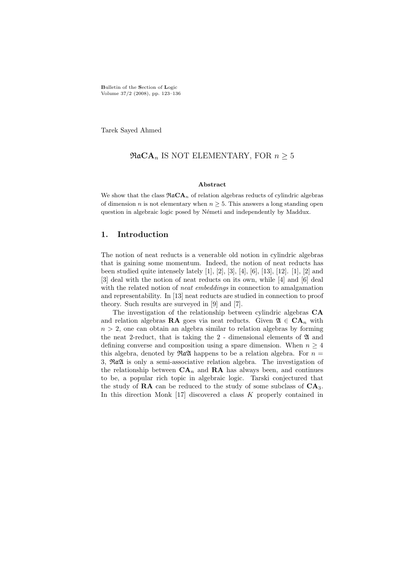Bulletin of the Section of Logic Volume 37/2 (2008), pp. 123–136

Tarek Sayed Ahmed

## $\Re \mathfrak{a} \mathbf{CA}_n$  IS NOT ELEMENTARY, FOR  $n \geq 5$

#### Abstract

We show that the class  $\Re aCA_n$  of relation algebras reducts of cylindric algebras of dimension n is not elementary when  $n \geq 5$ . This answers a long standing open question in algebraic logic posed by Németi and independently by Maddux.

## 1. Introduction

The notion of neat reducts is a venerable old notion in cylindric algebras that is gaining some momentum. Indeed, the notion of neat reducts has been studied quite intensely lately [1], [2], [3], [4], [6], [13], [12]. [1], [2] and [3] deal with the notion of neat reducts on its own, while [4] and [6] deal with the related notion of *neat embeddings* in connection to amalgamation and representability. In [13] neat reducts are studied in connection to proof theory. Such results are surveyed in [9] and [7].

The investigation of the relationship between cylindric algebras CA and relation algebras RA goes via neat reducts. Given  $\mathfrak{A} \in \mathbf{CA}_n$  with  $n > 2$ , one can obtain an algebra similar to relation algebras by forming the neat 2-reduct, that is taking the  $2$  - dimensional elements of  $\mathfrak A$  and defining converse and composition using a spare dimension. When  $n \geq 4$ this algebra, denoted by  $\Re \alpha \mathfrak{A}$  happens to be a relation algebra. For  $n =$ 3, RaA is only a semi-associative relation algebra. The investigation of the relationship between  $CA_n$  and RA has always been, and continues to be, a popular rich topic in algebraic logic. Tarski conjectured that the study of  $RA$  can be reduced to the study of some subclass of  $CA<sub>3</sub>$ . In this direction Monk  $[17]$  discovered a class K properly contained in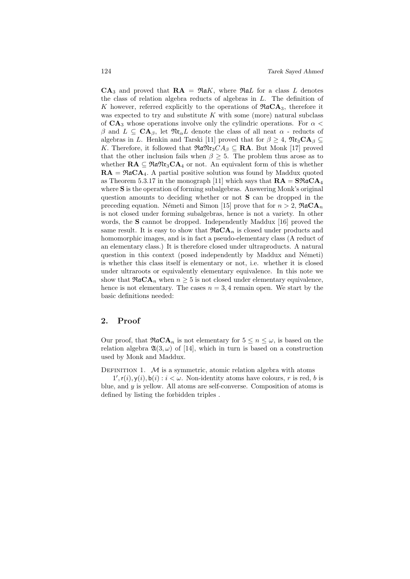$CA_3$  and proved that  $RA = \Re aK$ , where  $\Re aL$  for a class L denotes the class of relation algebra reducts of algebras in L. The definition of K however, referred explicitly to the operations of  $\Re aCA_3$ , therefore it was expected to try and substitute  $K$  with some (more) natural subclass of  $CA_3$  whose operations involve only the cylindric operations. For  $\alpha$  < β and  $L \subseteq \text{CA}_{\beta}$ , let  $\mathfrak{N} \mathfrak{r}_{\alpha} L$  denote the class of all neat  $\alpha$  - reducts of algebras in L. Henkin and Tarski [11] proved that for  $\beta > 4$ ,  $\mathfrak{N}r_{3}CA_{\beta} \subset$ K. Therefore, it followed that  $\Re \mathfrak{m} \mathfrak{m}_3CA_\beta \subseteq \mathbf{RA}$ . But Monk [17] proved that the other inclusion fails when  $\beta \geq 5$ . The problem thus arose as to whether  $\mathbf{RA} \subseteq \mathfrak{R}a\mathfrak{N}r_3\mathbf{CA}_4$  or not. An equivalent form of this is whether  $RA = \Re aCA_4$ . A partial positive solution was found by Maddux quoted as Theorem 5.3.17 in the monograph [11] which says that  $\mathbf{RA} = \mathbf{S} \mathfrak{R} \mathfrak{a} \mathbf{CA}_4$ where **S** is the operation of forming subalgebras. Answering Monk's original question amounts to deciding whether or not S can be dropped in the preceding equation. Németi and Simon [15] prove that for  $n > 2$ ,  $\Re aCA_n$ is not closed under forming subalgebras, hence is not a variety. In other words, the **S** cannot be dropped. Independently Maddux [16] proved the same result. It is easy to show that  $\Re aCA_n$  is closed under products and homomorphic images, and is in fact a pseudo-elementary class (A reduct of an elementary class.) It is therefore closed under ultraproducts. A natural question in this context (posed independently by Maddux and Németi) is whether this class itself is elementary or not, i.e. whether it is closed under ultraroots or equivalently elementary equivalence. In this note we show that  $\Re a \mathbf{CA}_n$  when  $n \geq 5$  is not closed under elementary equivalence, hence is not elementary. The cases  $n = 3, 4$  remain open. We start by the basic definitions needed:

# 2. Proof

Our proof, that  $\Re aCA_n$  is not elementary for  $5 \leq n \leq \omega$ , is based on the relation algebra  $\mathfrak{A}(3,\omega)$  of [14], which in turn is based on a construction used by Monk and Maddux.

DEFINITION 1.  $M$  is a symmetric, atomic relation algebra with atoms

 $1', r(i), y(i), b(i) : i < \omega$ . Non-identity atoms have colours, r is red, b is blue, and  $y$  is yellow. All atoms are self-converse. Composition of atoms is defined by listing the forbidden triples .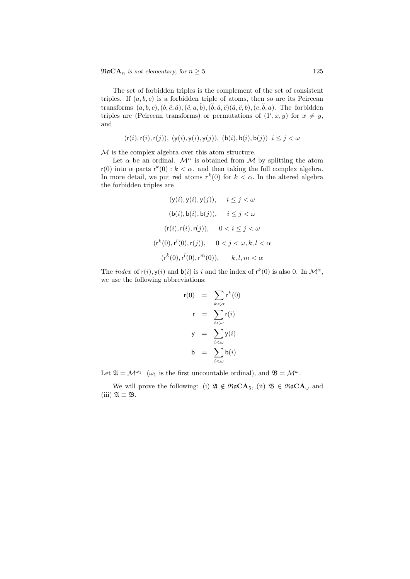$\Re \mathfrak{a} \mathbf{CA}_n$  is not elementary, for  $n \geq 5$  125

The set of forbidden triples is the complement of the set of consistent triples. If  $(a, b, c)$  is a forbidden triple of atoms, then so are its Peircean transforms  $(a, b, c), (b, \breve{c}, \breve{a}), (\breve{c}, a, \breve{b}), (\breve{b}, \breve{a}, \breve{c})$ ,  $(\breve{a}, \breve{c}, b), (c, \breve{b}, a)$ . The forbidden triples are (Peircean transforms) or permutations of  $(1', x, y)$  for  $x \neq y$ , and

$$
(\mathsf{r}(i), \mathsf{r}(i), \mathsf{r}(j)), \ (\mathsf{y}(i), \mathsf{y}(i), \mathsf{y}(j)), \ (\mathsf{b}(i), \mathsf{b}(i), \mathsf{b}(j)) \ \ i \le j < \omega
$$

M is the complex algebra over this atom structure.

Let  $\alpha$  be an ordinal.  $\mathcal{M}^{\alpha}$  is obtained from M by splitting the atom  $r(0)$  into  $\alpha$  parts  $r^k(0)$ :  $k < \alpha$ . and then taking the full complex algebra. In more detail, we put red atoms  $r^k(0)$  for  $k < \alpha$ . In the altered algebra the forbidden triples are

$$
(\mathbf{y}(i), \mathbf{y}(i), \mathbf{y}(j)), \quad i \leq j < \omega
$$
\n
$$
(\mathbf{b}(i), \mathbf{b}(i), \mathbf{b}(j)), \quad i \leq j < \omega
$$
\n
$$
(\mathbf{r}(i), \mathbf{r}(i), \mathbf{r}(j)), \quad 0 < i \leq j < \omega
$$
\n
$$
(\mathbf{r}^k(0), \mathbf{r}^l(0), \mathbf{r}(j)), \quad 0 < j < \omega, k, l < \alpha
$$
\n
$$
(\mathbf{r}^k(0), \mathbf{r}^l(0), \mathbf{r}^m(0)), \quad k, l, m < \alpha
$$

The *index* of  $r(i)$ ,  $y(i)$  and  $b(i)$  is i and the index of  $r^k(0)$  is also 0. In  $\mathcal{M}^{\alpha}$ , we use the following abbreviations:

$$
r(0) = \sum_{k < \alpha} r^{k}(0)
$$
  
\n
$$
r = \sum_{i < \omega} r(i)
$$
  
\n
$$
y = \sum_{i < \omega} y(i)
$$
  
\n
$$
b = \sum_{i < \omega} b(i)
$$

Let  $\mathfrak{A} = \mathcal{M}^{\omega_1}$  ( $\omega_1$  is the first uncountable ordinal), and  $\mathfrak{B} = \mathcal{M}^{\omega}$ .

We will prove the following: (i)  $\mathfrak{A} \notin \mathfrak{R}aCA_5$ , (ii)  $\mathfrak{B} \in \mathfrak{R}aCA_\omega$  and (iii)  $\mathfrak{A} \equiv \mathfrak{B}$ .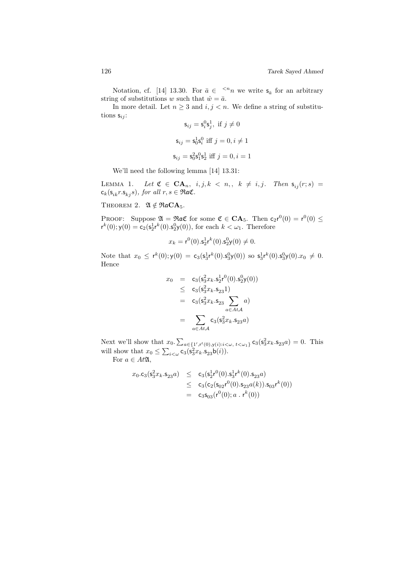Notation, cf. [14] 13.30. For  $\bar{a} \in \langle n_n \rangle$  we write  $\mathsf{s}_{\bar{a}}$  for an arbitrary string of substitutions w such that  $\hat{w} = \bar{a}$ .

In more detail. Let  $n \geq 3$  and  $i, j < n$ . We define a string of substitutions  $s_{ij}$ :

$$
\mathsf{s}_{ij} = \mathsf{s}_i^0 \mathsf{s}_j^1, \text{ if } j \neq 0
$$

$$
\mathsf{s}_{ij} = \mathsf{s}_0^1 \mathsf{s}_i^0 \text{ iff } j = 0, i \neq 1
$$

$$
\mathsf{s}_{ij} = \mathsf{s}_0^2 \mathsf{s}_1^0 \mathsf{s}_2^1 \text{ iff } j = 0, i = 1
$$

We'll need the following lemma [14] 13.31:

LEMMA 1. Let  $\mathfrak{C} \in \mathbf{CA}_n$ ,  $i, j, k \langle n_1, k_2 \rangle = i, j$ . Then  $\mathsf{s}_{ij}(r; s) =$  $c_k(s_{ik}r.s_{ki} s)$ , for all  $r, s \in \Re$ aC.

THEOREM 2.  $\mathfrak{A} \notin \mathfrak{R} \mathfrak{a} \mathbf{C} \mathbf{A}_5$ .

PROOF: Suppose  $\mathfrak{A} = \Re \mathfrak{a} \mathfrak{C}$  for some  $\mathfrak{C} \in \mathbf{CA}_5$ . Then  $c_2 r^0(0) = r^0(0) \leq$  $r^{k}(0); y(0) = c_{2}(s_{2}^{1}r^{k}(0).s_{2}^{0}y(0)),$  for each  $k < \omega_{1}$ . Therefore

$$
x_k = r^0(0).s_2^1 r^k(0).s_2^0 y(0) \neq 0.
$$

Note that  $x_0 \leq r^k(0); y(0) = c_3(s_3^1 r^k(0).s_3^0 y(0))$  so  $s_3^1 r^k(0).s_3^0 y(0).x_0 \neq 0$ . Hence

$$
x_0 = c_3(s_3^2 x_k . s_2^1 r^0(0). s_2^0 y(0))
$$
  
\n
$$
\leq c_3(s_3^2 x_k . s_{23} 1)
$$
  
\n
$$
= c_3(s_3^2 x_k . s_{23} \sum_{a \in At \mathcal{A}} a)
$$
  
\n
$$
= \sum_{a \in At \mathcal{A}} c_3(s_3^2 x_k . s_{23} a)
$$

Next we'll show that  $x_0 \cdot \sum_{a \in \{1', r^t(0), y(i) : i < \omega, t < \omega_1\}} \mathsf{c}_3(\mathsf{s}_3^2 x_k \cdot \mathsf{s}_{23} a) = 0$ . This will show that  $x_0 \le \sum_{i < \omega} c_3(\mathsf{s}_3^2 x_k \mathsf{s}_{23} \mathsf{b}(i)).$ 

For  $a \in At\mathfrak{A}$ ,

$$
x_0.c_3(s_3^2x_k.s_{23}a) \leq c_3(s_2^1r^0(0).s_3^1r^k(0).s_{23}a)
$$
  
\n
$$
\leq c_3(c_2(s_{02}r^0(0).s_{23}a(k)).s_{03}r^k(0))
$$
  
\n
$$
= c_3s_{03}(r^0(0); a. r^k(0))
$$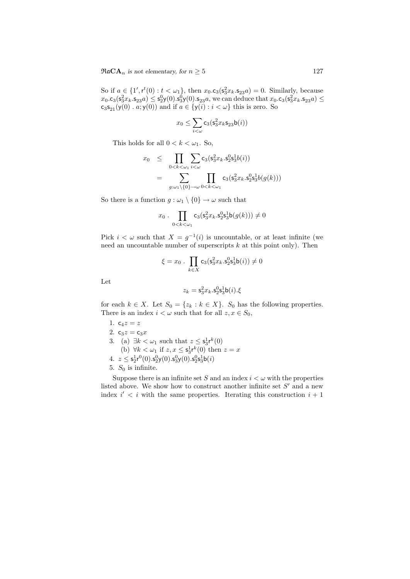So if  $a \in \{1', r^t(0) : t < \omega_1\}$ , then  $x_0.c_3(s_3^2x_k.s_{23}a) = 0$ . Similarly, because  $x_0.c_3(s_3^2x_k.s_{23}a) \le s_2^0y(0).s_3^0y(0).s_{23}a$ , we can deduce that  $x_0.c_3(s_3^2x_k.s_{23}a) \le$  $\mathsf{c}_3\mathsf{s}_{21}(\mathsf{y}(0)$  .  $a;\mathsf{y}(0))$  and if  $a\in \{\mathsf{y}(i): i<\omega\}$  this is zero. So

$$
x_0 \leq \sum_{i < \omega} \mathsf{c}_3(\mathsf{s}_3^2 x_k \mathsf{s}_{23} \mathsf{b}(i))
$$

This holds for all  $0 < k < \omega_1$ . So,

$$
x_0 \leq \prod_{0 < k < \omega_1} \sum_{i < \omega} \mathsf{c}_3(\mathsf{s}_3^2 x_k . \mathsf{s}_2^0 \mathsf{s}_3^1 b(i)) \\ = \sum_{g: \omega_1 \backslash \{0\} \to \omega} \prod_{0 < k < \omega_1} \mathsf{c}_3(\mathsf{s}_3^2 x_k . \mathsf{s}_2^0 \mathsf{s}_3^1 b(g(k)))
$$

So there is a function  $g : \omega_1 \setminus \{0\} \to \omega$  such that

$$
x_0
$$
. 
$$
\prod_{0 < k < \omega_1} \mathsf{c}_3(\mathsf{s}_3^2 x_k . \mathsf{s}_2^0 \mathsf{s}_3^1 \mathsf{b}(g(k))) \neq 0
$$

Pick  $i < \omega$  such that  $X = g^{-1}(i)$  is uncountable, or at least infinite (we need an uncountable number of superscripts  $k$  at this point only). Then

$$
\xi = x_0 \cdot \prod_{k \in X} \mathsf{c}_3(\mathsf{s}_3^2 x_k . \mathsf{s}_2^0 \mathsf{s}_3^1 \mathsf{b}(i)) \neq 0
$$

Let

$$
z_k = \mathsf{s}_3^2x_k.\mathsf{s}_2^0\mathsf{s}_3^1\mathsf{b}(i).\xi
$$

for each  $k \in X$ . Let  $S_0 = \{z_k : k \in X\}$ .  $S_0$  has the following properties. There is an index  $i < \omega$  such that for all  $z, x \in S_0$ ,

\n- 1. 
$$
c_4z = z
$$
\n- 2.  $c_3z = c_3x$
\n- 3. (a)  $\exists k < \omega_1$  such that  $z \leq s_3^1 r^k(0)$
\n- (b)  $\forall k < \omega_1$  if  $z, x \leq s_3^1 r^k(0)$  then  $z = x$
\n- 4.  $z \leq s_2^1 r^0(0).s_2^0 y(0).s_3^0 y(0).s_2^0 s_3^1 b(i)$
\n- 5.  $S_0$  is infinite.
\n

Suppose there is an infinite set S and an index  $i < \omega$  with the properties listed above. We show how to construct another infinite set  $S'$  and a new index  $i' < i$  with the same properties. Iterating this construction  $i + 1$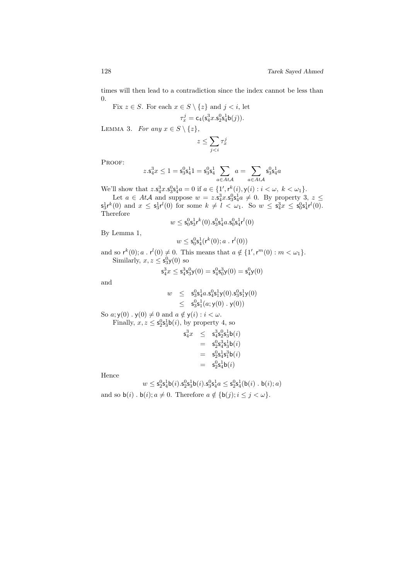times will then lead to a contradiction since the index cannot be less than  $0.$  $\overline{C}$  E  $1 \in \overline{C}$  ()  $1 \in \overline{C}$ 

Fix 
$$
z \in S
$$
. For each  $x \in S \setminus \{z\}$  and  $j < i$ , let  

$$
\tau_x^j = c_4(s_4^3x.s_2^0s_4^1b(j)).
$$

LEMMA 3. For any  $x \in S \setminus \{z\},\$ 

$$
z\leq \sum_{j
$$

PROOF:

$$
z.\mathbf{s}_4^3x\leq 1=\mathbf{s}_3^0\mathbf{s}_4^11=\mathbf{s}_3^0\mathbf{s}_4^1\sum_{a\in At\mathcal{A}}a=\sum_{a\in At\mathcal{A}}\mathbf{s}_3^0\mathbf{s}_4^1a
$$

We'll show that  $z.\mathbf{s}_4^3x.\mathbf{s}_3^0\mathbf{s}_4^1a = 0$  if  $a \in \{1', \mathsf{r}^k(i), \mathsf{y}(i) : i < \omega, k < \omega_1\}.$ 

Let  $a \in At\mathcal{A}$  and suppose  $w = z \cdot s_4^3 x \cdot s_3^0 s_4^1 a \neq 0$ . By property 3,  $z \leq$  $s_3^1 r^k(0)$  and  $x \leq s_3^1 r^l(0)$  for some  $k \neq l < \omega_1$ . So  $w \leq s_4^3 x \leq s_0^0 s_4^1 r^l(0)$ . Therefore

$$
w \leq \mathsf{s}_0^0 \mathsf{s}_3^1 \mathsf{r}^k(0). \mathsf{s}_3^0 \mathsf{s}_4^1 a. \mathsf{s}_0^0 \mathsf{s}_4^1 \mathsf{r}^l(0)
$$

By Lemma 1,

$$
w \leq \mathsf{s}_0^0 \mathsf{s}_4^1(\mathsf{r}^k(0); a \cdot \mathsf{r}^l(0))
$$

and so  $r^k(0)$ ;  $a \cdot r^l(0) \neq 0$ . This means that  $a \notin \{1', r^m(0) : m < \omega_1\}$ . Similarly,  $x, z \leq s_3^0 y(0)$  so

$$
\mathsf{s}_4^3 x \le \mathsf{s}_4^3 \mathsf{s}_3^0 \mathsf{y}(0) = \mathsf{s}_4^0 \mathsf{s}_0^3 \mathsf{y}(0) = \mathsf{s}_4^0 \mathsf{y}(0)
$$

and

$$
w \leq s_3^0 s_4^1 a s_4^0 s_1^1 y(0) s_3^0 s_1^1 y(0)
$$
  
\n
$$
\leq s_3^0 s_1^1 (a; y(0) \cdot y(0))
$$
  
\nSo  $a; y(0) \cdot y(0) \neq 0$  and  $a \notin y(i) : i < \omega$ .  
\nFinally,  $x, z \leq s_2^0 s_3^1 b(i)$ , by property 4, so

$$
\begin{array}{rcl} {\bf s}_4^3x&\le&{\bf s}_4^3{\bf s}_2^0{\bf s}_3^1{\bf b}(i)\\ &=&{\bf s}_2^0{\bf s}_4^3{\bf s}_3^1{\bf b}(i)\\ &=&{\bf s}_2^0{\bf s}_4^1{\bf s}_1^3{\bf b}(i)\\ &=&{\bf s}_2^0{\bf s}_4^1{\bf b}(i) \end{array}
$$

Hence

$$
w \leq {\sf s}_2^0 {\sf s}_4^1 {\sf b}(i).{\sf s}_2^0 {\sf s}_3^1 {\sf b}(i).{\sf s}_3^0 {\sf s}_4^1 a \leq {\sf s}_2^0 {\sf s}_4^1 ({\sf b}(i) \mathbin{.} {\sf b}(i);a)
$$

and so  $b(i)$ .  $b(i); a \neq 0$ . Therefore  $a \notin \{b(j); i \leq j < \omega\}.$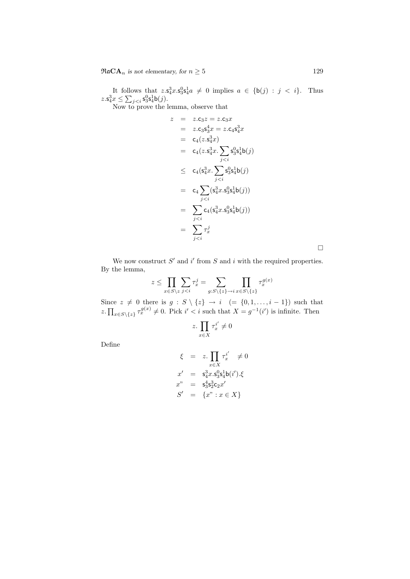$\Re \mathfrak{a} \mathbf{CA}_n$  is not elementary, for  $n \geq 5$  129

It follows that  $z.\mathsf{s}_4^3x.\mathsf{s}_3^9\mathsf{s}_4^1a \neq 0$  implies  $a \in \{\mathsf{b}(j) : j < i\}$ . Thus  $z.\mathsf{s}_4^3 x \leq \sum_{j$ 

Now to prove the lemma, observe that

$$
z = z.c_3z = z.c_3x
$$
  
\n
$$
= z.c_3s_3^4x = z.c_4s_4^3x
$$
  
\n
$$
= c_4(z.s_4^3x)
$$
  
\n
$$
= c_4(z.s_4^3x.\sum_{j  
\n
$$
\leq c_4(s_4^3x.\sum_{j  
\n
$$
= c_4\sum_{j  
\n
$$
= \sum_{j  
\n
$$
= \sum_{j
$$
$$
$$
$$
$$

We now construct  $S'$  and i' from S and i with the required properties. By the lemma,

$$
z \le \prod_{x \in S \setminus z} \sum_{j < i} \tau_x^j = \sum_{g: S \setminus \{z\} \to i} \prod_{x \in S \setminus \{z\}} \tau_x^{g(x)}
$$

Since  $z \neq 0$  there is  $g : S \setminus \{z\} \rightarrow i \ (= \{0, 1, \ldots, i - 1\})$  such that z.  $\prod_{x \in S \setminus \{z\}} \tau_x^{g(x)} \neq 0$ . Pick  $i' < i$  such that  $X = g^{-1}(i')$  is infinite. Then

$$
z. \prod_{x \in X} \tau_x^{i'} \neq 0
$$

Define

$$
\xi = z \cdot \prod_{x \in X} \tau_x^{i'} \neq 0
$$
  
\n
$$
x' = s_4^3 x \cdot s_3^0 s_4^1 b(i').\xi
$$
  
\n
$$
x'' = s_3^4 s_2^3 c_2 x'
$$
  
\n
$$
S' = \{x'' : x \in X\}
$$

 $\Box$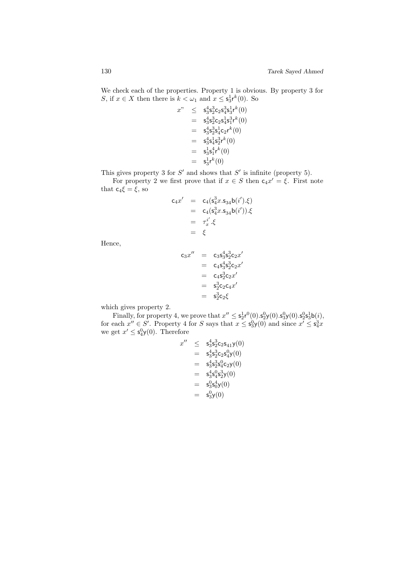We check each of the properties. Property 1 is obvious. By property 3 for S, if  $x \in X$  then there is  $k < \omega_1$  and  $x \leq s_3^1 r^k(0)$ . So

$$
\begin{array}{rcl} x^n & \leq & \mathsf{s}_3^4 \mathsf{s}_2^3 \mathsf{c}_2 \mathsf{s}_4^3 \mathsf{s}_3^1 \mathsf{r}^k(0) \\ & = & \mathsf{s}_3^4 \mathsf{s}_2^3 \mathsf{c}_2 \mathsf{s}_4^1 \mathsf{s}_1^3 \mathsf{r}^k(0) \\ & = & \mathsf{s}_3^4 \mathsf{s}_2^3 \mathsf{s}_4^1 \mathsf{c}_2 \mathsf{r}^k(0) \\ & = & \mathsf{s}_3^4 \mathsf{s}_4^1 \mathsf{s}_2^3 \mathsf{r}^k(0) \\ & = & \mathsf{s}_3^1 \mathsf{s}_1^4 \mathsf{r}^k(0) \\ & = & \mathsf{s}_3^1 \mathsf{r}^k(0) \end{array}
$$

This gives property 3 for  $S'$  and shows that  $S'$  is infinite (property 5).

For property 2 we first prove that if  $x \in S$  then  $c_4x' = \xi$ . First note that  $c_4\xi = \xi$ , so

$$
c_4 x' = c_4(s_4^3 x . s_{34} b(i').\xi)
$$
  
= c\_4(s\_4^3 x . s\_{34} b(i')).\xi  
=  $\tau_x^{i'}.\xi$   
=  $\xi$ 

Hence,

$$
c_3x'' = c_3s_3^4s_2^3c_2x'
$$
  
=  $c_4s_3^4s_2^3c_2x'$   
=  $c_4s_2^3c_2x'$   
=  $s_2^3c_2c_4x'$   
=  $s_2^3c_2\xi$ 

which gives property 2.

Finally, for property 4, we prove that  $x'' \n\t\leq s_2^1 r^0(0) \cdot s_2^0 y(0) \cdot s_3^0 y(0) \cdot s_2^0 s_3^1 b(i)$ , for each  $x'' \in S'$ . Property 4 for S says that  $x \leq s_3^0 y(0)$  and since  $x' \leq s_4^3 x$ we get  $x' \leq s_4^0 y(0)$ . Therefore

$$
x'' \leq s_3^4 s_2^3 c_2 s_{41} y(0)
$$
  
=  $s_3^4 s_2^3 c_2 s_4^0 y(0)$   
=  $s_3^4 s_2^3 s_4^0 c_2 y(0)$   
=  $s_3^4 s_4^0 s_2^3 y(0)$   
=  $s_3^0 s_0^4 y(0)$   
=  $s_3^0 y(0)$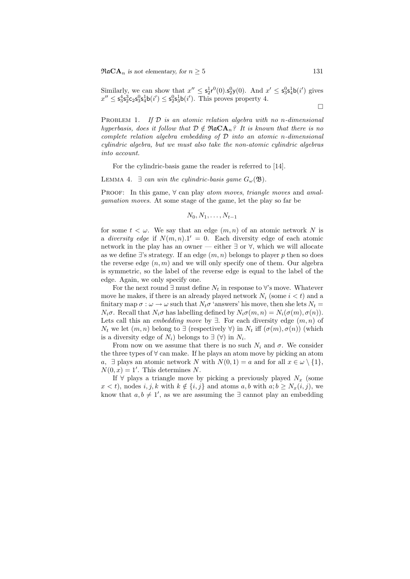Similarly, we can show that  $x'' \n\t\leq s_2^1 r^0(0) \cdot s_2^0 y(0)$ . And  $x' \leq s_3^0 s_4^1 b(i')$  gives  $x'' \leq s_3^4 s_2^3 c_2 s_3^0 s_4^1 b(i') \leq s_2^0 s_3^1 b(i')$ . This proves property 4.

PROBLEM 1. If  $D$  is an atomic relation algebra with no n-dimensional hyperbasis, does it follow that  $D \notin \mathfrak{R}a\mathbf{CA}_n$ ? It is known that there is no complete relation algebra embedding of  $\mathcal D$  into an atomic n-dimensional cylindric algebra, but we must also take the non-atomic cylindric algebras into account.

For the cylindric-basis game the reader is referred to [14].

LEMMA 4.  $\exists$  can win the cylindric-basis game  $G_{\omega}(\mathfrak{B})$ .

PROOF: In this game,  $\forall$  can play atom moves, triangle moves and amalgamation moves. At some stage of the game, let the play so far be

$$
N_0, N_1, \ldots, N_{t-1}
$$

for some  $t < \omega$ . We say that an edge  $(m, n)$  of an atomic network N is a diversity edge if  $N(m, n)$ .1' = 0. Each diversity edge of each atomic network in the play has an owner — either ∃ or ∀, which we will allocate as we define  $\exists$ 's strategy. If an edge  $(m, n)$  belongs to player p then so does the reverse edge  $(n, m)$  and we will only specify one of them. Our algebra is symmetric, so the label of the reverse edge is equal to the label of the edge. Again, we only specify one.

For the next round  $\exists$  must define  $N_t$  in response to  $\forall$ 's move. Whatever move he makes, if there is an already played network  $N_i$  (some  $i < t$ ) and a finitary map  $\sigma : \omega \to \omega$  such that  $N_t \sigma$  'answers' his move, then she lets  $N_t =$  $N_i\sigma$ . Recall that  $N_i\sigma$  has labelling defined by  $N_i\sigma(m,n) = N_i(\sigma(m), \sigma(n)).$ Lets call this an *embedding move* by  $\exists$ . For each diversity edge  $(m, n)$  of  $N_t$  we let  $(m, n)$  belong to  $\exists$  (respectively  $\forall$ ) in  $N_t$  iff  $(\sigma(m), \sigma(n))$  (which is a diversity edge of  $N_i$ ) belongs to  $\exists (\forall)$  in  $N_i$ .

From now on we assume that there is no such  $N_i$  and  $\sigma$ . We consider the three types of  $\forall$  can make. If he plays an atom move by picking an atom a,  $\exists$  plays an atomic network N with  $N(0, 1) = a$  and for all  $x \in \omega \setminus \{1\},\$  $N(0, x) = 1'$ . This determines N.

If  $\forall$  plays a triangle move by picking a previously played  $N_x$  (some  $x < t$ , nodes i, j, k with  $k \notin \{i, j\}$  and atoms  $a, b$  with  $a; b \geq N_x(i, j)$ , we know that  $a, b \neq 1'$ , as we are assuming the  $\exists$  cannot play an embedding

 $\Box$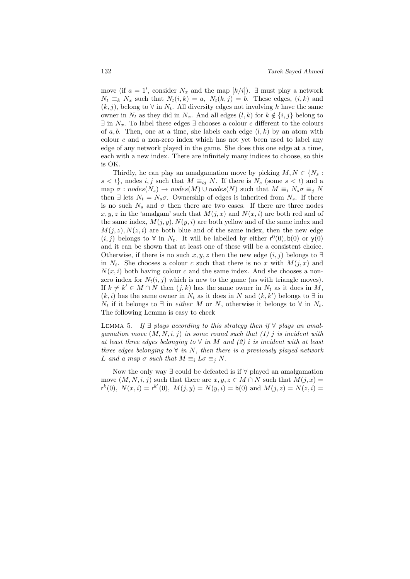move (if  $a = 1'$ , consider  $N_x$  and the map  $[k/i]$ ).  $\exists$  must play a network  $N_t \equiv_k N_x$  such that  $N_t(i,k) = a$ ,  $N_t(k,j) = b$ . These edges,  $(i, k)$  and  $(k, j)$ , belong to  $\forall$  in  $N_t$ . All diversity edges not involving k have the same owner in  $N_t$  as they did in  $N_x$ . And all edges  $(l, k)$  for  $k \notin \{i, j\}$  belong to  $\exists$  in  $N_x$ . To label these edges  $\exists$  chooses a colour c different to the colours of a, b. Then, one at a time, she labels each edge  $(l, k)$  by an atom with colour  $c$  and a non-zero index which has not yet been used to label any edge of any network played in the game. She does this one edge at a time, each with a new index. There are infinitely many indices to choose, so this is OK.

Thirdly, he can play an amalgamation move by picking  $M, N \in \{N_s :$  $s < t$ , nodes i, j such that  $M \equiv_{ij} N$ . If there is  $N_s$  (some  $s < t$ ) and a map  $\sigma : nodes(N_s) \rightarrow nodes(M) \cup nodes(N)$  such that  $M \equiv_i N_s \sigma \equiv_j N$ then  $\exists$  lets  $N_t = N_s \sigma$ . Ownership of edges is inherited from  $N_s$ . If there is no such  $N_s$  and  $\sigma$  then there are two cases. If there are three nodes  $x, y, z$  in the 'amalgam' such that  $M(j, x)$  and  $N(x, i)$  are both red and of the same index,  $M(j, y)$ ,  $N(y, i)$  are both yellow and of the same index and  $M(j, z), N(z, i)$  are both blue and of the same index, then the new edge  $(i, j)$  belongs to  $\forall$  in  $N_t$ . It will be labelled by either  $r^0(0)$ ,  $b(0)$  or  $y(0)$ and it can be shown that at least one of these will be a consistent choice. Otherwise, if there is no such x, y, z then the new edge  $(i, j)$  belongs to  $\exists$ in  $N_t$ . She chooses a colour c such that there is no x with  $M(j, x)$  and  $N(x, i)$  both having colour c and the same index. And she chooses a nonzero index for  $N_t(i, j)$  which is new to the game (as with triangle moves). If  $k \neq k' \in M \cap N$  then  $(j, k)$  has the same owner in  $N_t$  as it does in M,  $(k, i)$  has the same owner in  $N_t$  as it does in N and  $(k, k')$  belongs to  $\exists$  in  $N_t$  if it belongs to  $\exists$  in *either* M or N, otherwise it belongs to  $\forall$  in  $N_t$ . The following Lemma is easy to check

LEMMA 5. If  $\exists$  plays according to this strategy then if  $\forall$  plays an amalgamation move  $(M, N, i, j)$  in some round such that (1) j is incident with at least three edges belonging to  $\forall$  in M and (2) i is incident with at least three edges belonging to  $\forall$  in N, then there is a previously played network L and a map  $\sigma$  such that  $M \equiv_i L \sigma \equiv_j N$ .

Now the only way ∃ could be defeated is if ∀ played an amalgamation move  $(M, N, i, j)$  such that there are  $x, y, z \in M \cap N$  such that  $M(j, x) =$  $r^{k}(0)$ ,  $N(x,i) = r^{k'}(0)$ ,  $M(j, y) = N(y,i) = b(0)$  and  $M(j, z) = N(z, i)$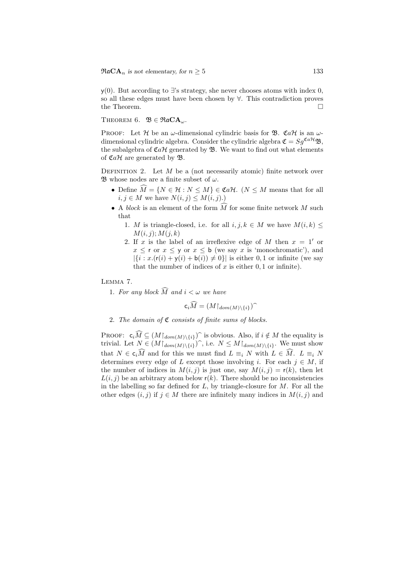y(0). But according to ∃'s strategy, she never chooses atoms with index 0, so all these edges must have been chosen by ∀. This contradiction proves the Theorem.  $\Box$ 

THEOREM 6.  $\mathfrak{B} \in \mathfrak{R} \mathfrak{a} \mathbf{C} \mathbf{A}_{\omega}$ .

PROOF: Let H be an  $\omega$ -dimensional cylindric basis for  $\mathfrak{B}$ . CaH is an  $\omega$ dimensional cylindric algebra. Consider the cylindric algebra  $\mathfrak{C} = Sg^{\mathfrak{Cat}}\mathfrak{B}$ , the subalgebra of  $\mathfrak{C}a\mathcal{H}$  generated by  $\mathfrak{B}$ . We want to find out what elements of  $\mathfrak{C}a\mathcal{H}$  are generated by  $\mathfrak{B}.$ 

DEFINITION 2. Let  $M$  be a (not necessarily atomic) finite network over  $\mathfrak{B}$  whose nodes are a finite subset of  $\omega$ .

- Define  $\widehat{M} = \{N \in \mathcal{H} : N \leq M\} \in \mathfrak{Cat}$ . ( $N \leq M$  means that for all  $i, j \in M$  we have  $N(i, j) \leq M(i, j)$ .
- A block is an element of the form  $\widehat{M}$  for some finite network M such that
	- 1. M is triangle-closed, i.e. for all  $i, j, k \in M$  we have  $M(i, k) \leq$  $M(i, j); M(j, k)$
	- 2. If x is the label of an irreflexive edge of M then  $x = 1'$  or  $x \leq r$  or  $x \leq y$  or  $x \leq b$  (we say x is 'monochromatic'), and  $|\{i : x(\mathsf{r}(i) + \mathsf{y}(i) + \mathsf{b}(i)) \neq 0\}|$  is either 0, 1 or infinite (we say that the number of indices of  $x$  is either  $0, 1$  or infinite).

Lemma 7.

1. For any block  $\widehat{M}$  and  $i < \omega$  we have

$$
\mathsf{c}_i\widehat{M}=(M{\restriction}_{dom(M){\setminus}\{i\}})^{\frown}
$$

2. The domain of  $C$  consists of finite sums of blocks.

PROOF:  $\mathbf{c}_i\widehat{M} \subseteq (M\mathbf{1}_{dom(M)\setminus\{i\}})^{\frown}$  is obvious. Also, if  $i \notin M$  the equality is trivial. Let  $N \subseteq (M\mathbf{1}_{\{i\}} \cup \{i\})^{\frown}$  is  $N \subseteq M\mathbf{1}_{\{i\}} \cup \{i\}^{\frown}$  We must show trivial. Let  $N \in (M \mid_{dom(M) \setminus \{i\}})$ , i.e.  $N \leq M \mid_{dom(M) \setminus \{i\}}$ . We must show that  $N \in \mathsf{c}_i\widehat{M}$  and for this we must find  $L \equiv_i N$  with  $L \in \widehat{M}$ .  $L \equiv_i N$ determines every edge of L except those involving i. For each  $j \in M$ , if the number of indices in  $M(i, j)$  is just one, say  $M(i, j) = r(k)$ , then let  $L(i, j)$  be an arbitrary atom below  $r(k)$ . There should be no inconsistencies in the labelling so far defined for  $L$ , by triangle-closure for  $M$ . For all the other edges  $(i, j)$  if  $j \in M$  there are infinitely many indices in  $M(i, j)$  and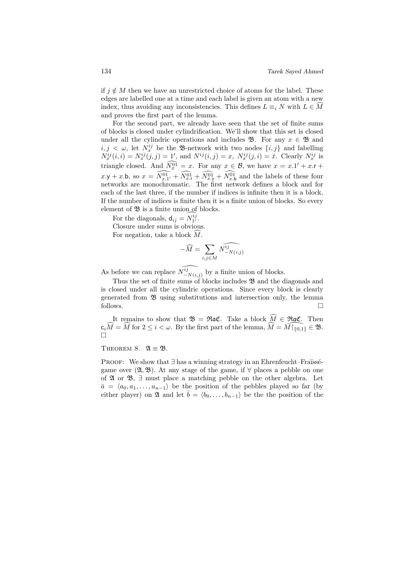if  $j \notin M$  then we have an unrestricted choice of atoms for the label. These edges are labelled one at a time and each label is given an atom with a new index, thus avoiding any inconsistencies. This defines  $L \equiv_i N$  with  $L \in M$ and proves the first part of the lemma.

For the second part, we already have seen that the set of finite sums of blocks is closed under cylindrification. We'll show that this set is closed under all the cylindric operations and includes  $\mathfrak{B}$ . For any  $x \in \mathfrak{B}$  and  $i, j \leq \omega$ , let  $N_x^{ij}$  be the B-network with two nodes  $\{i, j\}$  and labelling  $N_x^{ij}(i, i) = N_x^{ij}(j, j) = 1'$ , and  $N^{ij}(i, j) = x$ ,  $N_x^{ij}(j, i) = \tilde{x}$ . Clearly  $N_x^{ij}$  is triangle closed. And  $N_x^{01} = x$ . For any  $x \in \mathcal{B}$ , we have  $x = x.1' + x.r +$  $x \cdot y + x \cdot b$ , so  $x = \widehat{N_{x,1'}^{01}} + \widehat{N_{x,r}^{01}} + \widehat{N_{x,y}^{01}} + \widehat{N_{x,b}^{01}}$  and the labels of these four networks are monochromatic. The first network defines a block and for each of the last three, if the number if indices is infinite then it is a block. If the number of indices is finite then it is a finite union of blocks. So every element of  $\mathfrak B$  is a finite union of blocks.

For the diagonals,  $d_{ij} = N_{1'}^{ij}$ .

Closure under sums is obvious.

For negation, take a block  $M$ .

$$
-\widehat{M} = \sum_{i,j \in M} \widehat{N^{ij}_{-N(i,j)}}
$$

As before we can replace  $\widehat{N_{-N(i,j)}^{ij}}$  by a finite union of blocks.

Thus the set of finite sums of blocks includes  $\mathfrak B$  and the diagonals and is closed under all the cylindric operations. Since every block is clearly generated from B using substitutions and intersection only, the lemma follows.

It remains to show that  $\mathfrak{B} = \Re \mathfrak{a} \mathfrak{C}$ . Take a block  $\widehat{M} \in \Re \mathfrak{a} \mathfrak{C}$ . Then  $c_i\widehat{M} = \widehat{M}$  for  $2 \leq i \leq \omega$ . By the first part of the lemma,  $\widehat{M} = \widehat{M}\left[\widehat{\ell}_{0,1}\right] \in \mathfrak{B}$ .  $\Box$ 

#### THEOREM 8.  $\mathfrak{A} \equiv \mathfrak{B}$ .

PROOF: We show that  $\exists$  has a winning strategy in an Ehrenfeucht–Fraüsségame over  $(\mathfrak{A}, \mathfrak{B})$ . At any stage of the game, if  $\forall$  places a pebble on one of  $\mathfrak A$  or  $\mathfrak B$ ,  $\exists$  must place a matching pebble on the other algebra. Let  $\bar{a} = \langle a_0, a_1, \ldots, a_{n-1} \rangle$  be the position of the pebbles played so far (by either player) on  $\mathfrak{A}$  and let  $\bar{b} = \langle b_0, \ldots, b_{n-1} \rangle$  be the the position of the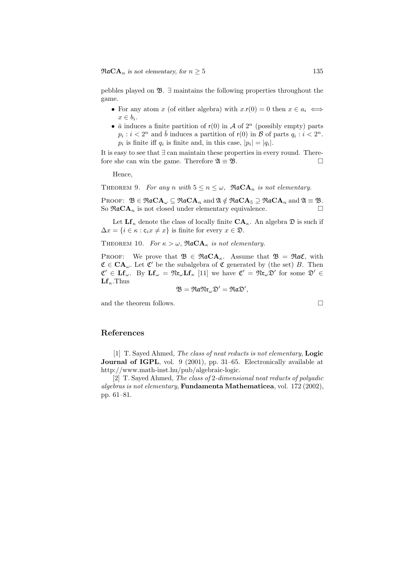pebbles played on  $\mathfrak{B}$ .  $\exists$  maintains the following properties throughout the game.

- For any atom x (of either algebra) with  $x.r(0) = 0$  then  $x \in a_i \iff$  $x \in b_i$ .
- $\bar{a}$  induces a finite partition of  $r(0)$  in A of  $2^n$  (possibly empty) parts  $p_i : i < 2^n$  and  $\overline{b}$  induces a partition of  $r(0)$  in  $\overline{\mathcal{B}}$  of parts  $q_i : i < 2^n$ .  $p_i$  is finite iff  $q_i$  is finite and, in this case,  $|p_i| = |q_i|$ .

It is easy to see that ∃ can maintain these properties in every round. Therefore she can win the game. Therefore  $\mathfrak{A} \equiv \mathfrak{B}$ .

Hence,

THEOREM 9. For any n with  $5 \le n \le \omega$ ,  $\Re aCA_n$  is not elementary.

PROOF:  $\mathfrak{B} \in \mathfrak{R}$ a $\mathbf{CA}_{\omega} \subseteq \mathfrak{R}$ a $\mathbf{CA}_n$  and  $\mathfrak{A} \notin \mathfrak{R}$ a $\mathbf{CA}_5 \supseteq \mathfrak{R}$ a $\mathbf{CA}_n$  and  $\mathfrak{A} \equiv \mathfrak{B}$ . So  $\Re aCA_n$  is not closed under elementary equivalence.

Let  $\mathbf{L} \mathbf{f}_{\kappa}$  denote the class of locally finite  $\mathbf{C} \mathbf{A}_{\kappa}$ . An algebra  $\mathfrak{D}$  is such if  $\Delta x = \{i \in \kappa : c_i x \neq x\}$  is finite for every  $x \in \mathfrak{D}$ .

THEOREM 10. For  $\kappa > \omega$ ,  $\Re aCA_{\kappa}$  is not elementary.

PROOF: We prove that  $\mathfrak{B} \in \mathfrak{R}aCA_{\kappa}$ . Assume that  $\mathfrak{B} = \mathfrak{R}a\mathfrak{C}$ , with  $\mathfrak{C} \in \mathbf{CA}_{\omega}$ . Let  $\mathfrak{C}'$  be the subalgebra of  $\mathfrak{C}$  generated by (the set) B. Then  $\mathfrak{C}' \in \mathbf{L} \mathbf{f}_{\omega}$ . By  $\mathbf{L} \mathbf{f}_{\omega} = \mathfrak{N} \mathfrak{r}_{\omega} \mathbf{L} \mathbf{f}_{\kappa}$  [11] we have  $\mathfrak{C}' = \mathfrak{N} \mathfrak{r}_{\omega} \mathfrak{D}'$  for some  $\mathfrak{D}' \in$  $\mathbf{Lf}_{\kappa}$ . Thus

$$
\mathfrak{B}=\mathfrak{Ra}\mathfrak{Mr}_{\omega}\mathfrak{D}'=\mathfrak{Ra}\mathfrak{D}',
$$

and the theorem follows.

$$
\Box
$$

### References

[1] T. Sayed Ahmed, The class of neat reducts is not elementary, **Logic** Journal of IGPL, vol. 9 (2001), pp. 31–65. Electronically available at http://www.math-inst.hu/pub/algebraic-logic.

[2] T. Sayed Ahmed, The class of 2-dimensional neat reducts of polyadic algebras is not elementary, Fundamenta Mathematicea, vol. 172 (2002), pp. 61–81.